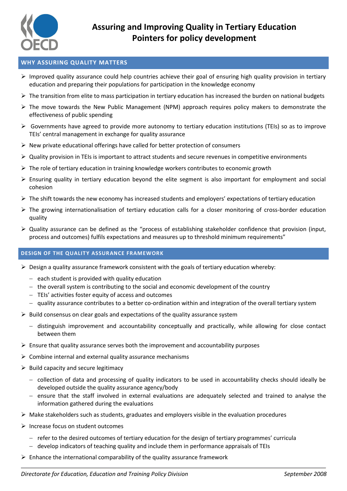

# **WHY ASSURING QUALITY MATTERS**

- $\triangleright$  Improved quality assurance could help countries achieve their goal of ensuring high quality provision in tertiary education and preparing their populations for participation in the knowledge economy
- $\triangleright$  The transition from elite to mass participation in tertiary education has increased the burden on national budgets
- $\triangleright$  The move towards the New Public Management (NPM) approach requires policy makers to demonstrate the effectiveness of public spending
- $\triangleright$  Governments have agreed to provide more autonomy to tertiary education institutions (TEIs) so as to improve TEIs' central management in exchange for quality assurance
- $\triangleright$  New private educational offerings have called for better protection of consumers
- Quality provision in TEIs is important to attract students and secure revenues in competitive environments
- $\triangleright$  The role of tertiary education in training knowledge workers contributes to economic growth
- $\triangleright$  Ensuring quality in tertiary education beyond the elite segment is also important for employment and social cohesion
- The shift towards the new economy has increased students and employers' expectations of tertiary education
- $\triangleright$  The growing internationalisation of tertiary education calls for a closer monitoring of cross-border education quality
- $\triangleright$  Quality assurance can be defined as the "process of establishing stakeholder confidence that provision (input, process and outcomes) fulfils expectations and measures up to threshold minimum requirements"

## **DESIGN OF THE QUALITY ASSURANCE FRAMEWORK**

- $\triangleright$  Design a quality assurance framework consistent with the goals of tertiary education whereby:
	- $-$  each student is provided with quality education
	- $-$  the overall system is contributing to the social and economic development of the country
	- TEIs' activities foster equity of access and outcomes
	- quality assurance contributes to a better co-ordination within and integration of the overall tertiary system
- $\triangleright$  Build consensus on clear goals and expectations of the quality assurance system
	- distinguish improvement and accountability conceptually and practically, while allowing for close contact between them
- $\triangleright$  Ensure that quality assurance serves both the improvement and accountability purposes
- $\triangleright$  Combine internal and external quality assurance mechanisms
- $\triangleright$  Build capacity and secure legitimacy
	- collection of data and processing of quality indicators to be used in accountability checks should ideally be developed outside the quality assurance agency/body
	- ensure that the staff involved in external evaluations are adequately selected and trained to analyse the information gathered during the evaluations
- $\triangleright$  Make stakeholders such as students, graduates and employers visible in the evaluation procedures
- $\triangleright$  Increase focus on student outcomes
	- $-$  refer to the desired outcomes of tertiary education for the design of tertiary programmes' curricula
	- develop indicators of teaching quality and include them in performance appraisals of TEIs
- $\triangleright$  Enhance the international comparability of the quality assurance framework